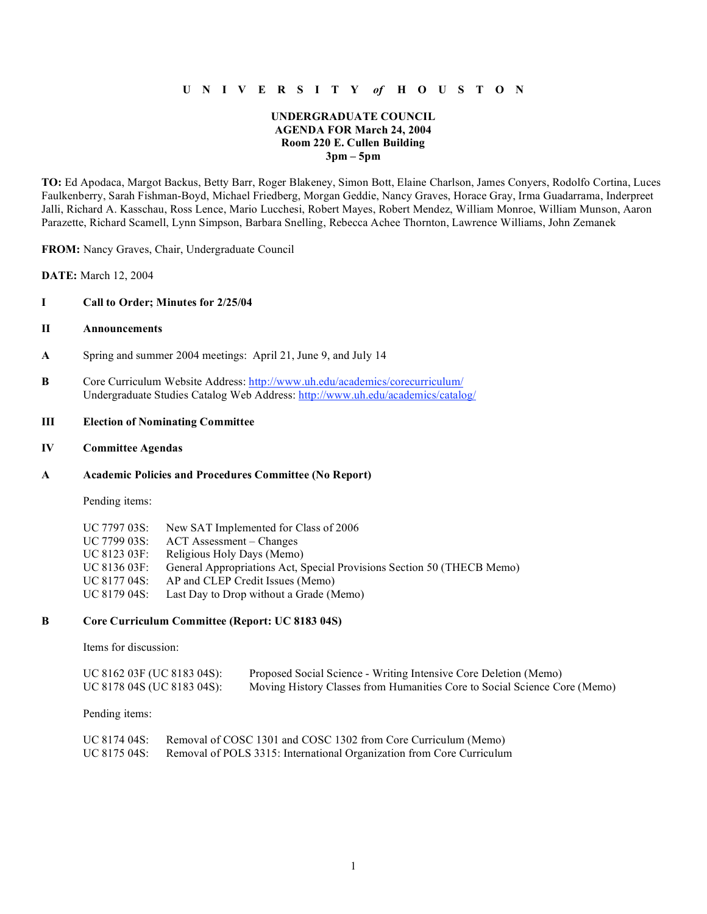## **U N I V E R S I T Y** *of* **H O U S T O N**

### **UNDERGRADUATE COUNCIL AGENDA FOR March 24, 2004 Room 220 E. Cullen Building 3pm – 5pm**

**TO:** Ed Apodaca, Margot Backus, Betty Barr, Roger Blakeney, Simon Bott, Elaine Charlson, James Conyers, Rodolfo Cortina, Luces Faulkenberry, Sarah Fishman-Boyd, Michael Friedberg, Morgan Geddie, Nancy Graves, Horace Gray, Irma Guadarrama, Inderpreet Jalli, Richard A. Kasschau, Ross Lence, Mario Lucchesi, Robert Mayes, Robert Mendez, William Monroe, William Munson, Aaron Parazette, Richard Scamell, Lynn Simpson, Barbara Snelling, Rebecca Achee Thornton, Lawrence Williams, John Zemanek

**FROM:** Nancy Graves, Chair, Undergraduate Council

**DATE:** March 12, 2004

#### **I Call to Order; Minutes for 2/25/04**

#### **II Announcements**

- **A** Spring and summer 2004 meetings: April 21, June 9, and July 14
- **B** Core Curriculum Website Address: http://www.uh.edu/academics/corecurriculum/ Undergraduate Studies Catalog Web Address: http://www.uh.edu/academics/catalog/

### **III Election of Nominating Committee**

#### **IV Committee Agendas**

#### **A Academic Policies and Procedures Committee (No Report)**

Pending items:

| UC 7797 03S: | New SAT Implemented for Class of 2006                                  |
|--------------|------------------------------------------------------------------------|
| UC 7799 03S: | ACT Assessment – Changes                                               |
| UC 8123 03F: | Religious Holy Days (Memo)                                             |
| UC 8136 03F: | General Appropriations Act, Special Provisions Section 50 (THECB Memo) |
| UC 8177 04S: | AP and CLEP Credit Issues (Memo)                                       |
| UC 8179 04S: | Last Day to Drop without a Grade (Memo)                                |
|              |                                                                        |

#### **B Core Curriculum Committee (Report: UC 8183 04S)**

Items for discussion:

| UC 8162 03F (UC 8183 04S): | Proposed Social Science - Writing Intensive Core Deletion (Memo)          |
|----------------------------|---------------------------------------------------------------------------|
| UC 8178 04S (UC 8183 04S): | Moving History Classes from Humanities Core to Social Science Core (Memo) |

Pending items:

| UC 8174 04S: | Removal of COSC 1301 and COSC 1302 from Core Curriculum (Memo)        |
|--------------|-----------------------------------------------------------------------|
| UC 8175 04S: | Removal of POLS 3315: International Organization from Core Curriculum |